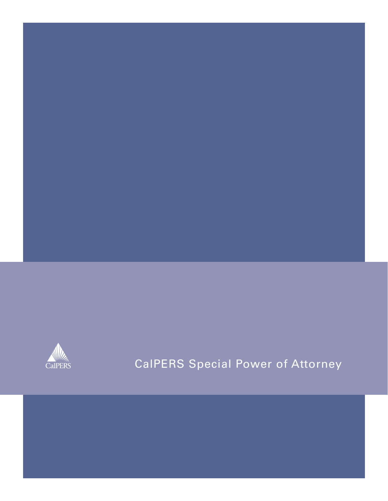

# CalPERS Special Power of Attorney

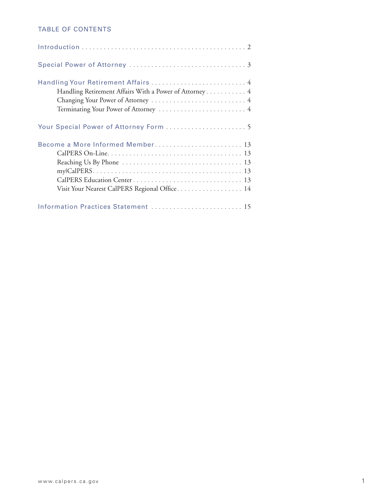### TABLE OF CONTENTS

| Handling Your Retirement Affairs  4<br>Handling Retirement Affairs With a Power of Attorney 4<br>Changing Your Power of Attorney  4 |
|-------------------------------------------------------------------------------------------------------------------------------------|
|                                                                                                                                     |
| Become a More Informed Member 13<br>Visit Your Nearest CalPERS Regional Office 14                                                   |
| Information Practices Statement  15                                                                                                 |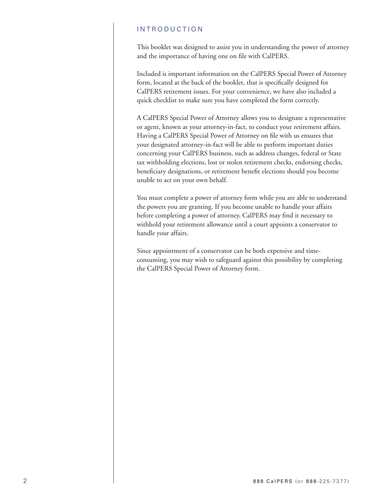### INTRODUCTION

This booklet was designed to assist you in understanding the power of attorney and the importance of having one on file with CalPERS.

Included is important information on the CalPERS Special Power of Attorney form, located at the back of the booklet, that is specifically designed for CalPERS retirement issues. For your convenience, we have also included a quick checklist to make sure you have completed the form correctly.

A CalPERS Special Power of Attorney allows you to designate a representative or agent, known as your attorney-in-fact, to conduct your retirement affairs. Having a CalPERS Special Power of Attorney on file with us ensures that your designated attorney-in-fact will be able to perform important duties concerning your CalPERS business, such as address changes, federal or State tax withholding elections, lost or stolen retirement checks, endorsing checks, beneficiary designations, or retirement benefit elections should you become unable to act on your own behalf.

You must complete a power of attorney form while you are able to understand the powers you are granting. If you become unable to handle your affairs before completing a power of attorney, CalPERS may find it necessary to withhold your retirement allowance until a court appoints a conservator to handle your affairs.

Since appointment of a conservator can be both expensive and timeconsuming, you may wish to safeguard against this possibility by completing the CalPERS Special Power of Attorney form.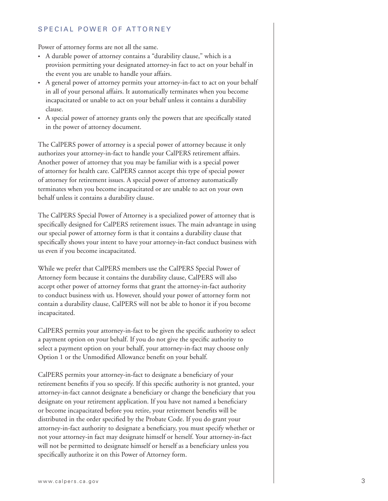#### SPECIAL POWER OF ATTORNEY

Power of attorney forms are not all the same.

- A durable power of attorney contains a "durability clause," which is a provision permitting your designated attorney-in fact to act on your behalf in the event you are unable to handle your affairs.
- A general power of attorney permits your attorney-in-fact to act on your behalf in all of your personal affairs. It automatically terminates when you become incapacitated or unable to act on your behalf unless it contains a durability clause.
- A special power of attorney grants only the powers that are specifically stated in the power of attorney document.

The CalPERS power of attorney is a special power of attorney because it only authorizes your attorney-in-fact to handle your CalPERS retirement affairs. Another power of attorney that you may be familiar with is a special power of attorney for health care. CalPERS cannot accept this type of special power of attorney for retirement issues. A special power of attorney automatically terminates when you become incapacitated or are unable to act on your own behalf unless it contains a durability clause.

The CalPERS Special Power of Attorney is a specialized power of attorney that is specifically designed for CalPERS retirement issues. The main advantage in using our special power of attorney form is that it contains a durability clause that specifically shows your intent to have your attorney-in-fact conduct business with us even if you become incapacitated.

While we prefer that CalPERS members use the CalPERS Special Power of Attorney form because it contains the durability clause, CalPERS will also accept other power of attorney forms that grant the attorney-in-fact authority to conduct business with us. However, should your power of attorney form not contain a durability clause, CalPERS will not be able to honor it if you become incapacitated.

CalPERS permits your attorney-in-fact to be given the specific authority to select a payment option on your behalf. If you do not give the specific authority to select a payment option on your behalf, your attorney-in-fact may choose only Option 1 or the Unmodified Allowance benefit on your behalf.

CalPERS permits your attorney-in-fact to designate a beneficiary of your retirement benefits if you so specify. If this specific authority is not granted, your attorney-in-fact cannot designate a beneficiary or change the beneficiary that you designate on your retirement application. If you have not named a beneficiary or become incapacitated before you retire, your retirement benefits will be distributed in the order specified by the Probate Code. If you do grant your attorney-in-fact authority to designate a beneficiary, you must specify whether or not your attorney-in fact may designate himself or herself. Your attorney-in-fact will not be permitted to designate himself or herself as a beneficiary unless you specifically authorize it on this Power of Attorney form.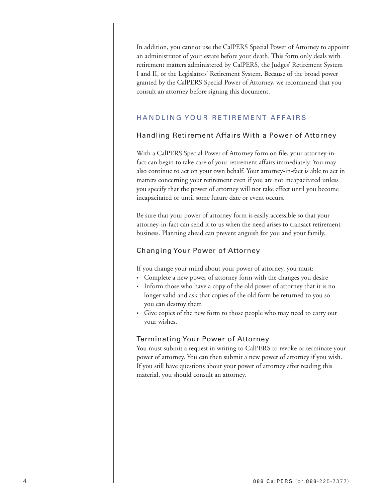In addition, you cannot use the CalPERS Special Power of Attorney to appoint an administrator of your estate before your death. This form only deals with retirement matters administered by CalPERS, the Judges' Retirement System I and II, or the Legislators' Retirement System. Because of the broad power granted by the CalPERS Special Power of Attorney, we recommend that you consult an attorney before signing this document.

### HANDLING YOUR RETIREMENT AFFAIRS

### Handling Retirement Affairs With a Power of Attorney

With a CalPERS Special Power of Attorney form on file, your attorney-infact can begin to take care of your retirement affairs immediately. You may also continue to act on your own behalf. Your attorney-in-fact is able to act in matters concerning your retirement even if you are not incapacitated unless you specify that the power of attorney will not take effect until you become incapacitated or until some future date or event occurs.

Be sure that your power of attorney form is easily accessible so that your attorney-in-fact can send it to us when the need arises to transact retirement business. Planning ahead can prevent anguish for you and your family.

#### Changing Your Power of Attorney

If you change your mind about your power of attorney, you must:

- Complete a new power of attorney form with the changes you desire
- Inform those who have a copy of the old power of attorney that it is no longer valid and ask that copies of the old form be returned to you so you can destroy them
- Give copies of the new form to those people who may need to carry out your wishes.

#### Terminating Your Power of Attorney

You must submit a request in writing to CalPERS to revoke or terminate your power of attorney. You can then submit a new power of attorney if you wish. If you still have questions about your power of attorney after reading this material, you should consult an attorney.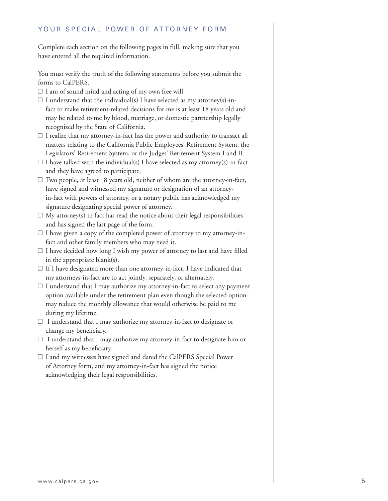### YOUR SPECIAL POWER OF ATTORNEY FORM

Complete each section on the following pages in full, making sure that you have entered all the required information.

You must verify the truth of the following statements before you submit the forms to CalPERS.

- $\Box$  I am of sound mind and acting of my own free will.
- $\Box$  I understand that the individual(s) I have selected as my attorney(s)-infact to make retirement-related decisions for me is at least 18 years old and may be related to me by blood, marriage, or domestic partnership legally recognized by the State of California.
- $\Box$  I realize that my attorney-in-fact has the power and authority to transact all matters relating to the California Public Employees' Retirement System, the Legislators' Retirement System, or the Judges' Retirement System I and II.
- $\Box$  I have talked with the individual(s) I have selected as my attorney(s)-in-fact and they have agreed to participate.
- $\Box$  Two people, at least 18 years old, neither of whom are the attorney-in-fact, have signed and witnessed my signature or designation of an attorneyin-fact with powers of attorney, or a notary public has acknowledged my signature designating special power of attorney.
- $\Box$  My attorney(s) in fact has read the notice about their legal responsibilities and has signed the last page of the form.
- $\Box$  I have given a copy of the completed power of attorney to my attorney-infact and other family members who may need it.
- $\Box$  I have decided how long I wish my power of attorney to last and have filled in the appropriate blank(s).
- $\Box$  If I have designated more than one attorney-in-fact, I have indicated that my attorneys-in-fact are to act jointly, separately, or alternately.
- $\Box$  I understand that I may authorize my attorney-in-fact to select any payment option available under the retirement plan even though the selected option may reduce the monthly allowance that would otherwise be paid to me during my lifetime.
- $\Box$  I understand that I may authorize my attorney-in-fact to designate or change my beneficiary.
- $\Box$  I understand that I may authorize my attorney-in-fact to designate him or herself as my beneficiary.
- $\Box$  I and my witnesses have signed and dated the CalPERS Special Power of Attorney form, and my attorney-in-fact has signed the notice acknowledging their legal responsibilities.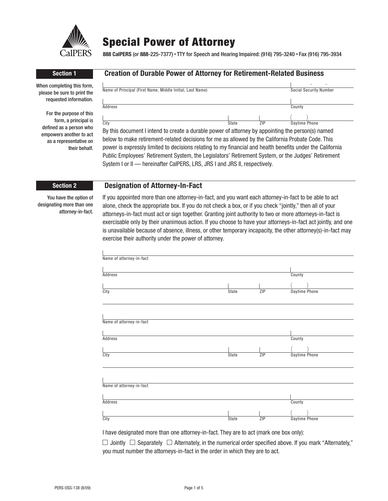

## **Special Power of Attorney**

**888 CalPERS** (or **888**-225-7377) • TTY for Speech and Hearing Impaired: (916) 795-3240 • Fax (916) 795-3934

When completing this form, please be sure to print the requested information.

For the purpose of this form, a principal is defined as a person who empowers another to act as a representative on their behalf.

### **Section 1 Creation of Durable Power of Attorney for Retirement-Related Business**

| Name of Principal (First Name, Middle Initial, Last Name) | Social Security Number |     |               |
|-----------------------------------------------------------|------------------------|-----|---------------|
|                                                           |                        |     |               |
|                                                           |                        |     |               |
| Address                                                   |                        |     | County        |
|                                                           |                        |     |               |
|                                                           |                        |     |               |
| City                                                      | State                  | ZIP | Daytime Phone |
|                                                           |                        |     |               |

By this document I intend to create a durable power of attorney by appointing the person(s) named below to make retirement-related decisions for me as allowed by the California Probate Code. This power is expressly limited to decisions relating to my financial and health benefits under the California Public Employees' Retirement System, the Legislators' Retirement System, or the Judges' Retirement System I or II - hereinafter CaIPERS, LRS, JRS I and JRS II, respectively.

#### **Section 2 Designation of Attorney-In-Fact**

You have the option of designating more than one attorney-in-fact. If you appointed more than one attorney-in-fact, and you want each attorney-in-fact to be able to act alone, check the appropriate box. If you do not check a box, or if you check "jointly," then all of your attorneys-in-fact must act or sign together. Granting joint authority to two or more attorneys-in-fact is exercisable only by their unanimous action. If you choose to have your attorneys-in-fact act jointly, and one is unavailable because of absence, illness, or other temporary incapacity, the other attorney(s)-in-fact may exercise their authority under the power of attorney.

| Name of attorney-in-fact |              |     |               |  |
|--------------------------|--------------|-----|---------------|--|
| <b>Address</b>           |              |     | County        |  |
|                          |              |     |               |  |
| City                     | State        | ZIP | Daytime Phone |  |
|                          |              |     |               |  |
| Name of attorney-in-fact |              |     |               |  |
|                          |              |     |               |  |
| <b>Address</b>           |              |     | County        |  |
|                          |              |     |               |  |
| City                     | <b>State</b> | ZIP | Daytime Phone |  |
|                          |              |     |               |  |
| Name of attorney-in-fact |              |     |               |  |
|                          |              |     |               |  |
| <b>Address</b>           |              |     | County        |  |
|                          |              |     |               |  |
| City                     | State        | ZIP | Daytime Phone |  |

I have designated more than one attorney-in-fact. They are to act (mark one box only):

 $\Box$  Jointly  $\Box$  Separately  $\Box$  Alternately, in the numerical order specified above. If you mark "Alternately," you must number the attorneys-in-fact in the order in which they are to act.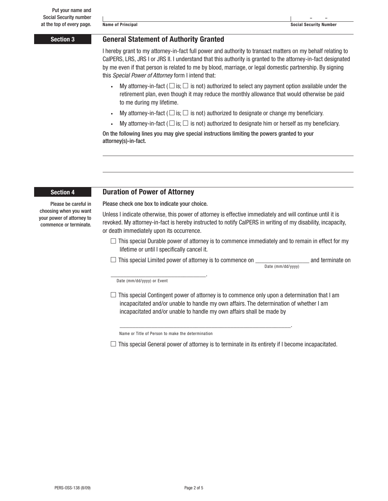#### **Section 3 General Statement of Authority Granted**

I hereby grant to my attorney-in-fact full power and authority to transact matters on my behalf relating to CalPERS, LRS, JRS I or JRS II. I understand that this authority is granted to the attorney-in-fact designated by me even if that person is related to me by blood, marriage, or legal domestic partnership. By signing this *Special Power of Attorney* form I intend that:

- My attorney-in-fact ( $\Box$  is;  $\Box$  is not) authorized to select any payment option available under the retirement plan, even though it may reduce the monthly allowance that would otherwise be paid to me during my lifetime.
- My attorney-in-fact ( $\Box$  is;  $\Box$  is not) authorized to designate or change my beneficiary.
- My attorney-in-fact ( $\Box$  is;  $\Box$  is not) authorized to designate him or herself as my beneficiary.

On the following lines you may give special instructions limiting the powers granted to your attorney(s)-in-fact.

#### Please be careful in choosing when you want your power of attorney to commence or terminate.

#### **Section 4 Duration of Power of Attorney**

Please check one box to indicate your choice.

Unless I indicate otherwise, this power of attorney is effective immediately and will continue until it is revoked. My attorney-in-fact is hereby instructed to notify CalPERS in writing of my disability, incapacity, or death immediately upon its occurrence.

 $\Box$  This special Durable power of attorney is to commence immediately and to remain in effect for my lifetime or until I specifically cancel it.

 $\Box$  This special Limited power of attorney is to commence on  $\Box$  and terminate on Date (mm/dd/yyyy)

Date (mm/dd/yyyy) or Event

\_\_\_\_\_\_\_\_\_\_\_\_\_\_\_\_\_\_\_\_\_\_\_\_\_\_\_\_\_\_.

 $\Box$  This special Contingent power of attorney is to commence only upon a determination that I am incapacitated and/or unable to handle my own affairs. The determination of whether I am incapacitated and/or unable to handle my own affairs shall be made by

Name or Title of Person to make the determination

 $\Box$  This special General power of attorney is to terminate in its entirety if I become incapacitated.

\_\_\_\_\_\_\_\_\_\_\_\_\_\_\_\_\_\_\_\_\_\_\_\_\_\_\_\_\_\_\_\_\_\_\_\_\_\_\_\_\_\_\_\_\_\_\_\_\_\_\_\_\_\_.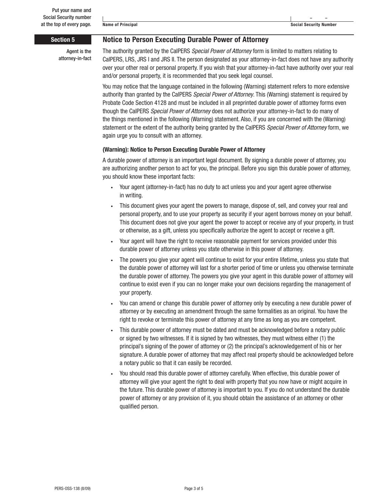Agent is the attorney-in-fact

 **Section 5 Notice to Person Executing Durable Power of Attorney**

The authority granted by the CalPERS *Special Power of Attorney* form is limited to matters relating to CalPERS, LRS, JRS I and JRS II. The person designated as your attorney-in-fact does not have any authority over your other real or personal property. If you wish that your attorney-in-fact have authority over your real and/or personal property, it is recommended that you seek legal counsel.

You may notice that the language contained in the following (Warning) statement refers to more extensive authority than granted by the CalPERS *Special Power of Attorney*. This (Warning) statement is required by Probate Code Section 4128 and must be included in all preprinted durable power of attorney forms even though the CalPERS *Special Power of Attorney* does not authorize your attorney-in-fact to do many of the things mentioned in the following (Warning) statement. Also, if you are concerned with the (Warning) statement or the extent of the authority being granted by the CalPERS *Special Power of Attorney* form, we again urge you to consult with an attorney.

#### **(Warning): Notice to Person Executing Durable Power of Attorney**

A durable power of attorney is an important legal document. By signing a durable power of attorney, you are authorizing another person to act for you, the principal. Before you sign this durable power of attorney, you should know these important facts:

- Your agent (attorney-in-fact) has no duty to act unless you and your agent agree otherwise in writing.
- This document gives your agent the powers to manage, dispose of, sell, and convey your real and personal property, and to use your property as security if your agent borrows money on your behalf. This document does not give your agent the power to accept or receive any of your property, in trust or otherwise, as a gift, unless you specifically authorize the agent to accept or receive a gift.
- Your agent will have the right to receive reasonable payment for services provided under this durable power of attorney unless you state otherwise in this power of attorney.
- The powers you give your agent will continue to exist for your entire lifetime, unless you state that the durable power of attorney will last for a shorter period of time or unless you otherwise terminate the durable power of attorney. The powers you give your agent in this durable power of attorney will continue to exist even if you can no longer make your own decisions regarding the management of your property.
- You can amend or change this durable power of attorney only by executing a new durable power of attorney or by executing an amendment through the same formalities as an original. You have the right to revoke or terminate this power of attorney at any time as long as you are competent.
- This durable power of attorney must be dated and must be acknowledged before a notary public or signed by two witnesses. If it is signed by two witnesses, they must witness either (1) the principal's signing of the power of attorney or (2) the principal's acknowledgement of his or her signature. A durable power of attorney that may affect real property should be acknowledged before a notary public so that it can easily be recorded.
- You should read this durable power of attorney carefully. When effective, this durable power of attorney will give your agent the right to deal with property that you now have or might acquire in the future. This durable power of attorney is important to you. If you do not understand the durable power of attorney or any provision of it, you should obtain the assistance of an attorney or other qualified person.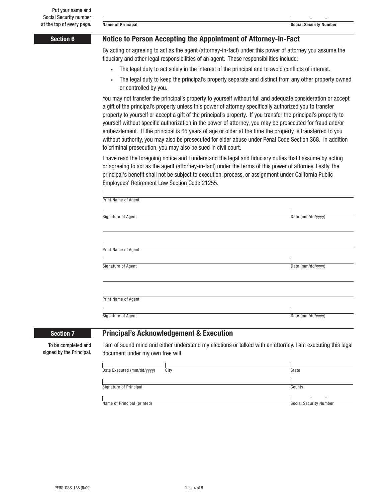**– –**

#### **Section 6 Notice to Person Accepting the Appointment of Attorney-in-Fact**

By acting or agreeing to act as the agent (attorney-in-fact) under this power of attorney you assume the fiduciary and other legal responsibilities of an agent. These responsibilities include:

- The legal duty to act solely in the interest of the principal and to avoid conflicts of interest.
- The legal duty to keep the principal's property separate and distinct from any other property owned or controlled by you.

You may not transfer the principal's property to yourself without full and adequate consideration or accept a gift of the principal's property unless this power of attorney specifically authorized you to transfer property to yourself or accept a gift of the principal's property. If you transfer the principal's property to yourself without specific authorization in the power of attorney, you may be prosecuted for fraud and/or embezzlement. If the principal is 65 years of age or older at the time the property is transferred to you without authority, you may also be prosecuted for elder abuse under Penal Code Section 368. In addition to criminal prosecution, you may also be sued in civil court.

I have read the foregoing notice and I understand the legal and fiduciary duties that I assume by acting or agreeing to act as the agent (attorney-in-fact) under the terms of this power of attorney. Lastly, the principal's benefit shall not be subject to execution, process, or assignment under California Public Employees' Retirement Law Section Code 21255.

|                  | Print Name of Agent                                |                   |
|------------------|----------------------------------------------------|-------------------|
|                  | Signature of Agent                                 | Date (mm/dd/yyyy) |
|                  |                                                    |                   |
|                  | Print Name of Agent                                |                   |
|                  | Signature of Agent                                 | Date (mm/dd/yyyy) |
|                  |                                                    |                   |
|                  | Print Name of Agent                                |                   |
|                  | Signature of Agent                                 | Date (mm/dd/yyyy) |
| <b>Section 7</b> | <b>Principal's Acknowledgement &amp; Execution</b> |                   |

To be completed and signed by the Principal. I am of sound mind and either understand my elections or talked with an attorney. I am executing this legal document under my own free will.



Name of Principal (printed) Social Security Number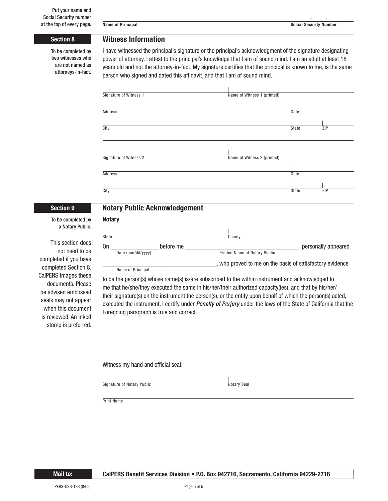#### **Section 8 Witness Information**

To be completed by two witnesses who are not named as attorneys-in-fact. I have witnessed the principal's signature or the principal's acknowledgment of the signature designating power of attorney. I attest to the principal's knowledge that I am of sound mind. I am an adult at least 18 years old and not the attorney-in-fact. My signature certifies that the principal is known to me, is the same person who signed and dated this affidavit, and that I am of sound mind.

| Signature of Witness 1 | Name of Witness 1 (printed) |  |
|------------------------|-----------------------------|--|
|                        |                             |  |
| <b>Address</b>         | Date                        |  |
|                        |                             |  |
| City                   | ZIP<br>State                |  |
|                        |                             |  |
|                        |                             |  |
|                        |                             |  |
| Signature of Witness 2 | Name of Witness 2 (printed) |  |
|                        |                             |  |
| <b>Address</b>         | Date                        |  |
|                        |                             |  |
| City                   | ZIP<br>State                |  |
|                        |                             |  |

### **Notary Section 9 Notary Public Acknowledgement**

To be completed by a Notary Public.

This section does not need to be completed if you have completed Section 8. CalPERS images these documents. Please be advised embossed seals may not appear when this document is reviewed. An inked stamp is preferred.

| State |                   |           | County                                                 |                       |
|-------|-------------------|-----------|--------------------------------------------------------|-----------------------|
| On    | Date (mm/dd/yyyy) | before me | Printed Name of Notary Public                          | , personally appeared |
|       | Name of Principal |           | who proved to me on the basis of satisfactory evidence |                       |

to be the person(s) whose name(s) is/are subscribed to the within instrument and acknowledged to me that he/she/they executed the same in his/her/their authorized capacity(ies), and that by his/her/ their signature(s) on the instrument the person(s), or the entity upon behalf of which the person(s) acted, executed the instrument. I certify under *Penalty of Perjury* under the laws of the State of California that the Foregoing paragraph is true and correct.

Witness my hand and official seal.

| Signature of Notary Public | Notary Seal |
|----------------------------|-------------|

Print Name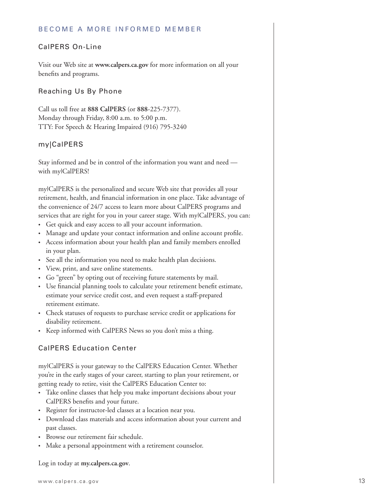#### BECOME A MORE INFORMED MEMBER

#### CalPERS On-Line

Visit our Web site at **www.calpers.ca.gov** for more information on all your benefits and programs.

#### Reaching Us By Phone

Call us toll free at **888 CalPERS** (or **888**-225-7377). Monday through Friday, 8:00 a.m. to 5:00 p.m. TTY: For Speech & Hearing Impaired (916) 795-3240

#### my|CalPERS

Stay informed and be in control of the information you want and need with mylCalPERS!

my|CalPERS is the personalized and secure Web site that provides all your retirement, health, and financial information in one place. Take advantage of the convenience of 24/7 access to learn more about CalPERS programs and services that are right for you in your career stage. With mylCalPERS, you can:

- Get quick and easy access to all your account information.
- Manage and update your contact information and online account profile.
- Access information about your health plan and family members enrolled in your plan.
- See all the information you need to make health plan decisions.
- View, print, and save online statements.
- Go "green" by opting out of receiving future statements by mail.
- Use financial planning tools to calculate your retirement benefit estimate, estimate your service credit cost, and even request a staff-prepared retirement estimate.
- Check statuses of requests to purchase service credit or applications for disability retirement.
- Keep informed with CalPERS News so you don't miss a thing.

### CalPERS Education Center

my|CalPERS is your gateway to the CalPERS Education Center. Whether you're in the early stages of your career, starting to plan your retirement, or getting ready to retire, visit the CalPERS Education Center to:

- Take online classes that help you make important decisions about your CalPERS benefits and your future.
- Register for instructor-led classes at a location near you.
- Download class materials and access information about your current and past classes.
- Browse our retirement fair schedule.
- Make a personal appointment with a retirement counselor.

Log in today at **my.calpers.ca.gov**.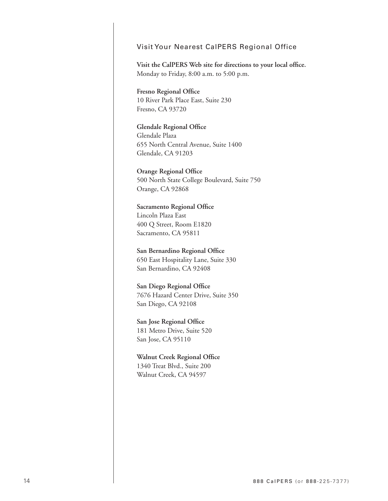#### Visit Your Nearest CalPERS Regional Office

Visit the CalPERS Web site for directions to your local office. Monday to Friday, 8:00 a.m. to 5:00 p.m.

**Fresno Regional Office** 10 River Park Place East, Suite 230 Fresno, CA 93720

**Glendale Regional Office** Glendale Plaza 655 North Central Avenue, Suite 1400 Glendale, CA 91203

**Orange Regional Office** 500 North State College Boulevard, Suite 750 Orange, CA 92868

**Sacramento Regional Office** Lincoln Plaza East 400 Q Street, Room E1820 Sacramento, CA 95811

**San Bernardino Regional Office** 650 East Hospitality Lane, Suite 330 San Bernardino, CA 92408

**San Diego Regional Office** 7676 Hazard Center Drive, Suite 350 San Diego, CA 92108

**San Jose Regional Office** 181 Metro Drive, Suite 520 San Jose, CA 95110

**Walnut Creek Regional Office** 1340 Treat Blvd., Suite 200 Walnut Creek, CA 94597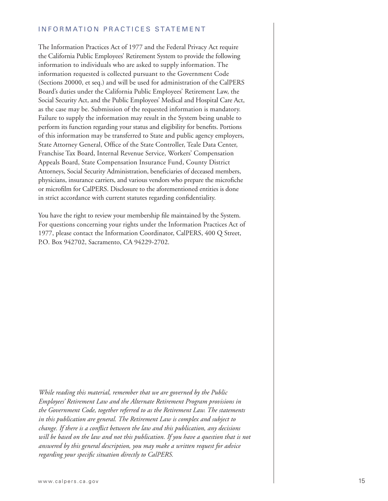#### INFORMATION PRACTICES STATEMENT

The Information Practices Act of 1977 and the Federal Privacy Act require the California Public Employees' Retirement System to provide the following information to individuals who are asked to supply information. The information requested is collected pursuant to the Government Code (Sections 20000, et seq.) and will be used for administration of the CalPERS Board's duties under the California Public Employees' Retirement Law, the Social Security Act, and the Public Employees' Medical and Hospital Care Act, as the case may be. Submission of the requested information is mandatory. Failure to supply the information may result in the System being unable to perform its function regarding your status and eligibility for benefits. Portions of this information may be transferred to State and public agency employers, State Attorney General, Office of the State Controller, Teale Data Center, Franchise Tax Board, Internal Revenue Service, Workers' Compensation Appeals Board, State Compensation Insurance Fund, County District Attorneys, Social Security Administration, beneficiaries of deceased members, physicians, insurance carriers, and various vendors who prepare the microfiche or microfilm for CalPERS. Disclosure to the aforementioned entities is done in strict accordance with current statutes regarding confidentiality.

You have the right to review your membership file maintained by the System. For questions concerning your rights under the Information Practices Act of 1977, please contact the Information Coordinator, CalPERS, 400 Q Street, P.O. Box 942702, Sacramento, CA 94229-2702.

*While reading this material, remember that we are governed by the Public Employees' Retirement Law and the Alternate Retirement Program provisions in the Government Code, together referred to as the Retirement Law. The statements in this publication are general. The Retirement Law is complex and subject to change. If there is a conflict between the law and this publication, any decisions* will be based on the law and not this publication. If you have a question that is not *answered by this general description, you may make a written request for advice*  regarding your specific situation directly to CalPERS.